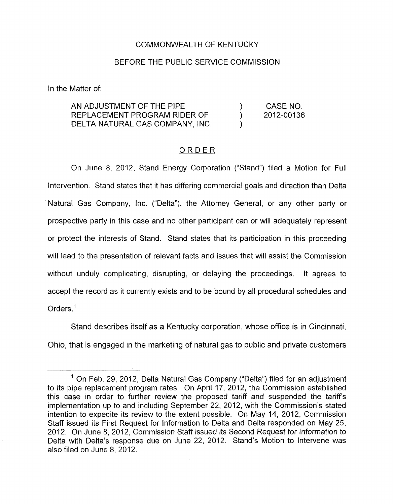## COMMONWEALTH OF KENTUCKY

## BEFORE THE PUBLIC SERVICE COMMISSION

In the Matter of:

AN ADJUSTMENT OF THE PIPE ) CASE NO. REPLACEMENT PROGRAM RIDER OF 2012-00136 DELTA NATURAL GAS COMPANY, INC.

## ORDER

On June 8, 2012, Stand Energy Corporation ("Stand") filed a Motion for Full Intervention. Stand states that it has differing commercial goals and direction than Delta Natural Gas Company, Inc. ("Delta"), the Attorney General, or any other party or prospective party in this case and no other participant can or will adequately represent or protect the interests of Stand. Stand states that its participation in this proceeding will lead to the presentation of relevant facts and issues that will assist the Commission without unduly complicating, disrupting, or delaying the proceedings. It agrees to accept the record as it currently exists and to be bound by all procedural schedules and Orders.<sup>1</sup>

Stand describes itself as a Kentucky corporation, whose office is in Cincinnati, Ohio, that is engaged in the marketing of natural gas to public and private customers

 $1$  On Feb. 29, 2012, Delta Natural Gas Company ("Delta") filed for an adjustment to its pipe replacement program rates. On April 17, 2012, the Commission established this case in order to further review the proposed tariff and suspended the tariff's implementation up to and including September 22, 2012, with the Commission's stated intention to expedite its review to the extent possible. On May 14, 2012, Commission Staff issued its First Request for Information to Delta and Delta responded on May 25, 2012. On June 8, 2012, Commission Staff issued its Second Request for Information to Delta with Delta's response due on June 22, 2012. Stand's Motion to Intervene was also filed on June 8, 2012.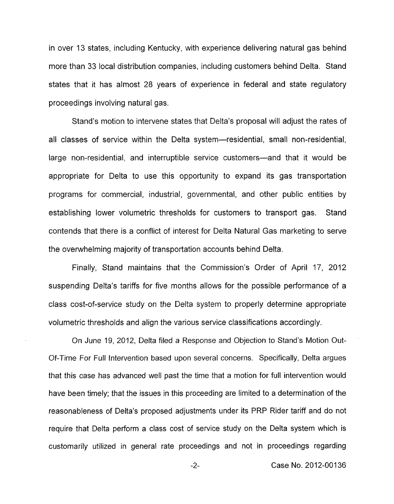in over 13 states, including Kentucky, with experience delivering natural gas behind more than 33 local distribution companies, including customers behind Delta. Stand states that it has almost 28 years of experience in federal and state regulatory proceedings involving natural gas.

Stand's motion to intervene states that Delta's proposal will adjust the rates of all classes of service within the Delta system—residential, small non-residential, large non-residential, and interruptible service customers—and that it would be appropriate for Delta to use this opportunity to expand its gas transportation programs for commercial, industrial, governmental, and other public entities by establishing lower volumetric thresholds for customers to transport gas. Stand contends that there is a conflict of interest for Delta Natural Gas marketing to serve the overwhelming majority of transportation accounts behind Delta.

Finally, Stand maintains that the Commission's Order of April 17, 2012 suspending Delta's tariffs for five months allows for the possible performance of a class cost-of-service study on the Delta system to properly determine appropriate volumetric thresholds and align the various service classifications accordingly.

On June 19, 2012, Delta filed a Response and Objection to Stand's Motion Out-Of-Time For Full Intervention based upon several concerns. Specifically, Delta argues that this case has advanced well past the time that a motion for full intervention would have been timely; that the issues in this proceeding are limited to a determination of the reasonableness of Delta's proposed adjustments under its PRP Rider tariff and do not require that Delta perform a class cost of service study on the Delta system which is customarily utilized in general rate proceedings and not in proceedings regarding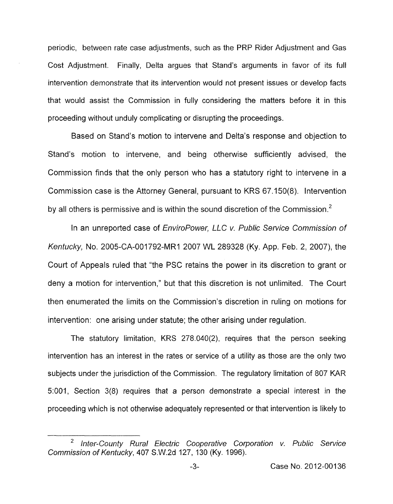periodic, between rate case adjustments, such as the PRP Rider Adjustment and Gas Cost Adjustment. Finally, Delta argues that Stand's arguments in favor of its full intervention demonstrate that its intervention would not present issues or develop facts that would assist the Commission in fully considering the matters before it in this proceeding without unduly complicating or disrupting the proceedings.

Based on Stand's motion to intervene and Delta's response and objection to Stand's motion to intervene, and being otherwise sufficiently advised, the Commission finds that the only person who has a statutory right to intervene in a Commission case is the Attorney General, pursuant to KRS 67.150(8). Intervention by all others is permissive and is within the sound discretion of the Commission.<sup>2</sup>

In an unreported case of *EnviroPower, LLC v. Public Service Commission of Kentucky,* No. 2005-CA-001792-MR1 2007 WL 289328 (Ky. App. Feb. 2, 2007), the Court of Appeals ruled that "the PSC retains the power in its discretion to grant or deny a motion for intervention,'' but that this discretion is not unlimited. The Court then enumerated the limits on the Commission's discretion in ruling on motions for intervention: one arising under statute; the other arising under regulation.

The statutory limitation, KRS 278.040(2), requires that the person seeking intervention has an interest in the rates or service of a utility as those are the only two subjects under the jurisdiction of the Commission. The regulatory limitation of 807 KAR 5:001, Section 3(8) requires that a person demonstrate a special interest in the proceeding which is not otherwise adequately represented or that intervention is likely to

<sup>&#</sup>x27; *Inter-County Rural €lectric Cooperative Corporation v. Public Service Commission ofKentucky,* 407 S.W.2d 127, 130 (Ky. 1996).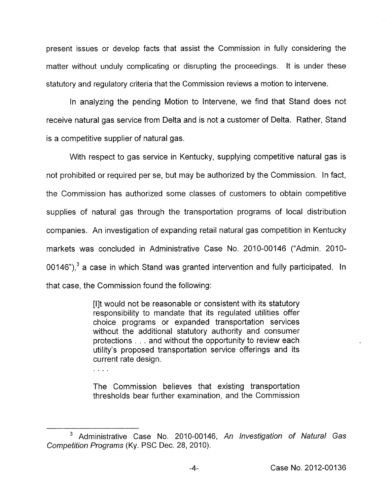present issues or develop facts that assist the Commission in fully considering the matter without unduly complicating or disrupting the proceedings. It is under these statutory and regulatory criteria that the Commission reviews a motion to intervene.

In analyzing the pending Motion to Intervene, we find that Stand does not receive natural gas service from Delta and is not a customer of Delta. Rather, Stand is a competitive supplier of natural gas.

With respect to gas service in Kentucky, supplying competitive natural gas is not prohibited or required per se, but may be authorized by the Commission. In fact, the Commission has authorized some classes of customers to obtain competitive supplies of natural gas through the transportation programs of local distribution companies. An investigation of expanding retail natural gas competition in Kentucky markets was concluded in Administrative Case No. 2010-00146 ("Admin. 2010-00146"), $3$  a case in which Stand was granted intervention and fully participated. In that case, the Commission found the following:

> [I]t would not be reasonable or consistent with its statutory responsibility to mandate that its regulated utilities offer choice programs or expanded transportation services without the additional statutory authority and consumer protections . . . and without the opportunity to review each utility's proposed transportation service offerings and its current rate design.

....

The Commission believes that existing transportation thresholds bear further examination, and the Commission

<sup>&</sup>lt;sup>3</sup> Administrative Case No. 2010-00146, An Investigation of Natural Gas *Competition Programs* (Ky. PSC Dec. 28, 2010).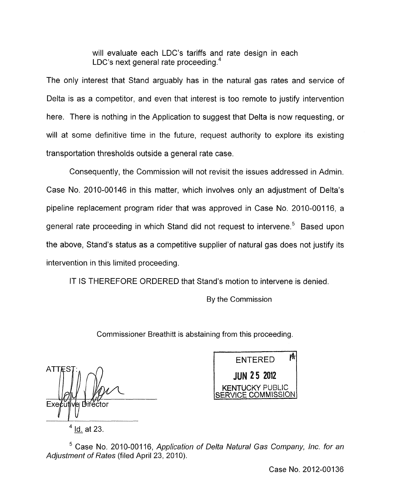will evaluate each LDC's tariffs and rate design in each LDC's next general rate proceeding. $4$ 

The only interest that Stand arguably has in the natural gas rates and service of Delta is as a competitor, and even that interest is too remote to justify intervention here. There is nothing in the Application to suggest that Delta is now requesting, or will at some definitive time in the future, request authority to explore its existing transportation thresholds outside a general rate case.

Consequently, the Commission will not revisit the issues addressed in Admin. Case No. 2010-00146 in this matter, which involves only an adjustment of Delta's pipeline replacement program rider that was approved in Case No. 2010-00116, a general rate proceeding in which Stand did not request to intervene.<sup>5</sup> Based upon the above, Stand's status as a competitive supplier of natural gas does not justify its intervention in this limited proceeding.

IT IS THEREFORE ORDERED that Stand's motion to intervene is denied.

By the Commission

Commissioner Breathitt is abstaining from this proceeding.

 $ATT_{\Delta}$ - Id. at 23. Execut



Case No. 2010-001 16, *Application of Delta Natural Gas Company, Inc. for an*  Adjustment of Rates (filed April 23, 2010).

Case No. 2012-00136